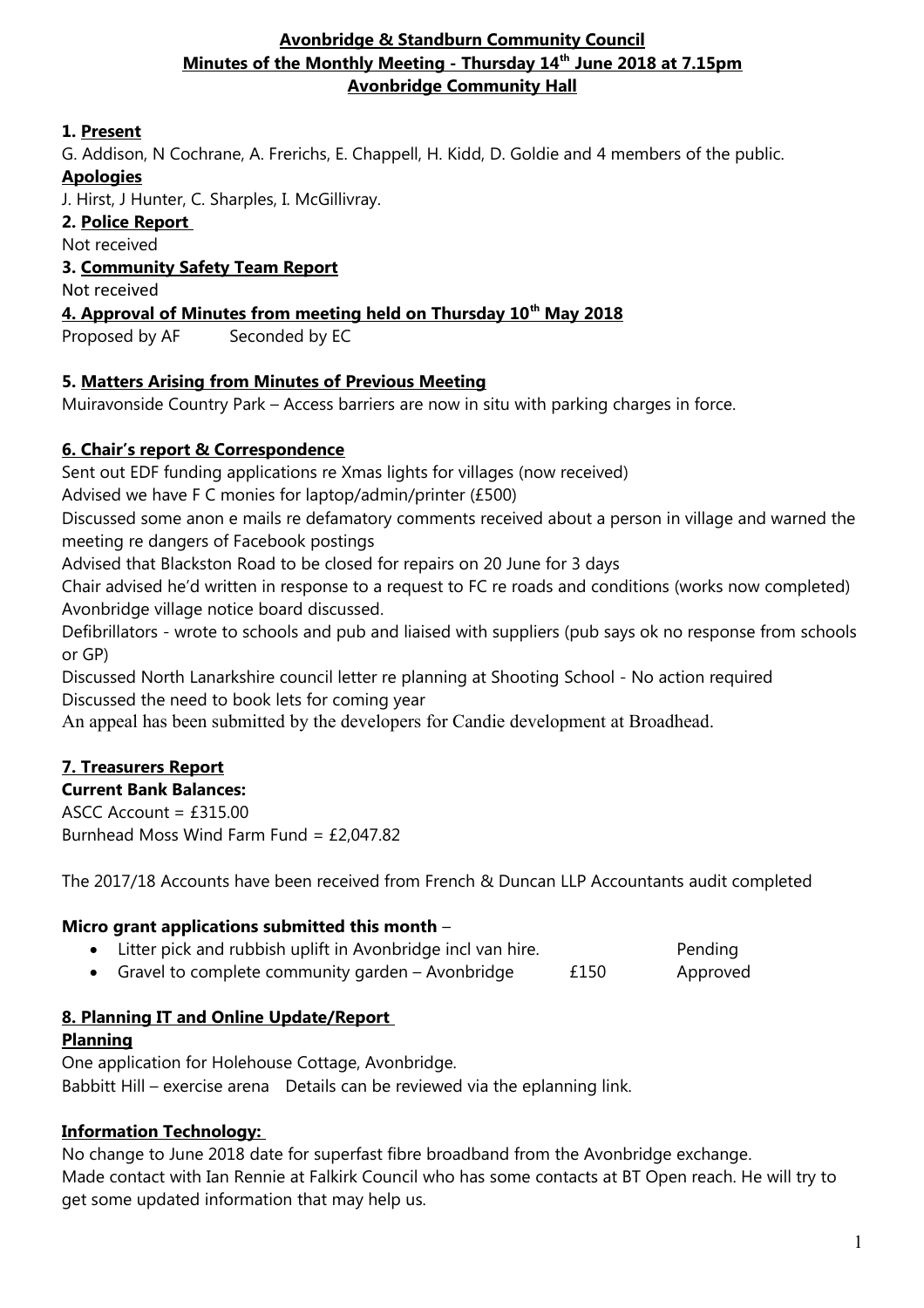#### **Avonbridge & Standburn Community Council Minutes of the Monthly Meeting - Thursday 14th June 2018 at 7.15pm Avonbridge Community Hall**

#### **1. Present**

G. Addison, N Cochrane, A. Frerichs, E. Chappell, H. Kidd, D. Goldie and 4 members of the public.

#### **Apologies**

J. Hirst, J Hunter, C. Sharples, I. McGillivray.

#### **2. Police Report**

Not received

#### **3. Community Safety Team Report**

Not received

#### **4. Approval of Minutes from meeting held on Thursday 10th May 2018**

Proposed by AF Seconded by EC

#### **5. Matters Arising from Minutes of Previous Meeting**

Muiravonside Country Park – Access barriers are now in situ with parking charges in force.

# **6. Chair's report & Correspondence**

Sent out EDF funding applications re Xmas lights for villages (now received)

Advised we have F C monies for laptop/admin/printer (£500)

Discussed some anon e mails re defamatory comments received about a person in village and warned the meeting re dangers of Facebook postings

Advised that Blackston Road to be closed for repairs on 20 June for 3 days

Chair advised he'd written in response to a request to FC re roads and conditions (works now completed) Avonbridge village notice board discussed.

Defibrillators - wrote to schools and pub and liaised with suppliers (pub says ok no response from schools or GP)

Discussed North Lanarkshire council letter re planning at Shooting School - No action required Discussed the need to book lets for coming year

An appeal has been submitted by the developers for Candie development at Broadhead.

# **7. Treasurers Report**

# **Current Bank Balances:**

ASCC Account =  $f315.00$ Burnhead Moss Wind Farm Fund = £2,047.82

The 2017/18 Accounts have been received from French & Duncan LLP Accountants audit completed

# **Micro grant applications submitted this month** –

- Litter pick and rubbish uplift in Avonbridge incl van hire. Pending
- Gravel to complete community garden Avonbridge  $f_{150}$  Approved

# **8. Planning IT and Online Update/Report**

# **Planning**

One application for Holehouse Cottage, Avonbridge. Babbitt Hill – exercise arena Details can be reviewed via the eplanning link.

# **Information Technology:**

No change to June 2018 date for superfast fibre broadband from the Avonbridge exchange. Made contact with Ian Rennie at Falkirk Council who has some contacts at BT Open reach. He will try to get some updated information that may help us.